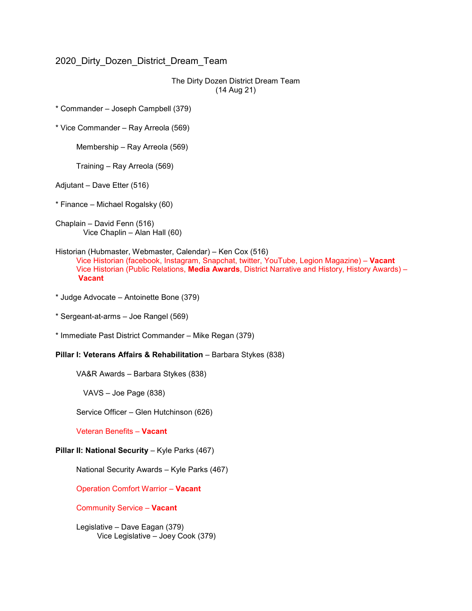## 2020\_Dirty\_Dozen\_District\_Dream\_Team

The Dirty Dozen District Dream Team (14 Aug 21)

\* Commander – Joseph Campbell (379)

\* Vice Commander – Ray Arreola (569)

Membership – Ray Arreola (569)

Training – Ray Arreola (569)

Adjutant – Dave Etter (516)

\* Finance – Michael Rogalsky (60)

Chaplain – David Fenn (516) Vice Chaplin – Alan Hall (60)

## Historian (Hubmaster, Webmaster, Calendar) – Ken Cox (516) Vice Historian (facebook, Instagram, Snapchat, twitter, YouTube, Legion Magazine) – **Vacant** Vice Historian (Public Relations, **Media Awards**, District Narrative and History, History Awards) – **Vacant**

- \* Judge Advocate Antoinette Bone (379)
- \* Sergeant-at-arms Joe Rangel (569)
- \* Immediate Past District Commander Mike Regan (379)

## **Pillar I: Veterans Affairs & Rehabilitation** – Barbara Stykes (838)

VA&R Awards – Barbara Stykes (838)

VAVS – Joe Page (838)

Service Officer – Glen Hutchinson (626)

Veteran Benefits – **Vacant**

## **Pillar II: National Security** – Kyle Parks (467)

National Security Awards – Kyle Parks (467)

Operation Comfort Warrior – **Vacant**

Community Service – **Vacant**

Legislative – Dave Eagan (379) Vice Legislative – Joey Cook (379)